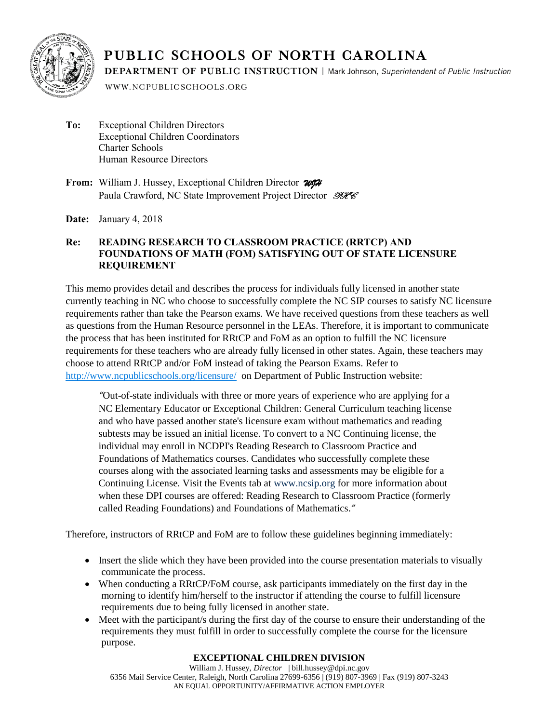

## PUBLIC SCHOOLS OF NORTH CAROLINA

**DEPARTMENT OF PUBLIC INSTRUCTION | Mark Johnson, Superintendent of Public Instruction** 

WWW.NCPUBLICSCHOOLS.ORG

- To: Exceptional Children Directors Exceptional Children Coordinators Charter Schools Human Resource Directors
- From: William J. Hussey, Exceptional Children Director *WJH* Paula Crawford, NC State Improvement Project Director 9846

Date: January 4, 2018

## Re: READING RESEARCH TO CLASSROOM PRACTICE (RRTCP) AND FOUNDATIONS OF MATH (FOM) SATISFYING OUT OF STATE LICENSURE REQUIREMENT

This memo provides detail and describes the process for individuals fully licensed in another state currently teaching in NC who choose to successfully complete the NC SIP courses to satisfy NC licensure requirements rather than take the Pearson exams. We have received questions from these teachers as well as questions from the Human Resource personnel in the LEAs. Therefore, it is important to communicate the process that has been instituted for RRtCP and FoM as an option to fulfill the NC licensure requirements for these teachers who are already fully licensed in other states. Again, these teachers may choose to attend RRtCP and/or FoM instead of taking the Pearson Exams. Refer to <http://www.ncpublicschools.org/licensure/>on Department of Public Instruction website:

*"*Out-of-state individuals with three or more years of experience who are applying for a NC Elementary Educator or Exceptional Children: General Curriculum teaching license and who have passed another state's licensure exam without mathematics and reading subtests may be issued an initial license. To convert to a NC Continuing license, the individual may enroll in NCDPI's Reading Research to Classroom Practice and Foundations of Mathematics courses. Candidates who successfully complete these courses along with the associated learning tasks and assessments may be eligible for a Continuing License. Visit the Events tab at [www.ncsip.org](http://www.ncsip.org/) for more information about when these DPI courses are offered: Reading Research to Classroom Practice (formerly called Reading Foundations) and Foundations of Mathematics.*"*

Therefore, instructors of RRtCP and FoM are to follow these guidelines beginning immediately:

- Insert the slide which they have been provided into the course presentation materials to visually communicate the process.
- When conducting a RRtCP/FoM course, ask participants immediately on the first day in the morning to identify him/herself to the instructor if attending the course to fulfill licensure requirements due to being fully licensed in another state.
- Meet with the participant/s during the first day of the course to ensure their understanding of the requirements they must fulfill in order to successfully complete the course for the licensure purpose.

## **EXCEPTIONAL CHILDREN DIVISION**

William J. Hussey, *Director* | bill.hussey@dpi.nc.gov 6356 Mail Service Center, Raleigh, North Carolina 27699-6356 | (919) 807-3969 | Fax (919) 807-3243 AN EQUAL OPPORTUNITY/AFFIRMATIVE ACTION EMPLOYER